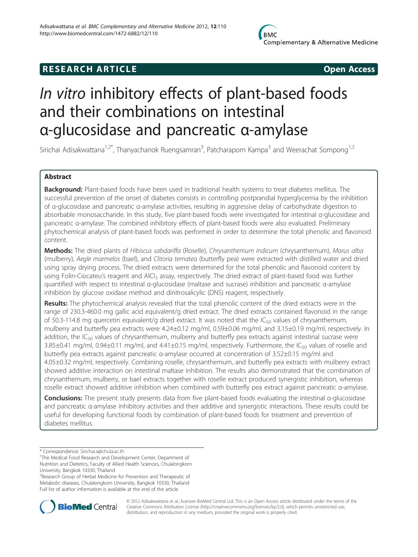# **RESEARCH ARTICLE Example 2014 CONSIDERING CONSIDERING CONSIDERING CONSIDERING CONSIDERING CONSIDERING CONSIDERING CONSIDERING CONSIDERING CONSIDERING CONSIDERING CONSIDERING CONSIDERING CONSIDERING CONSIDERING CONSIDE**

# In vitro inhibitory effects of plant-based foods and their combinations on intestinal α-glucosidase and pancreatic α-amylase

Sirichai Adisakwattana<sup>1,2\*</sup>, Thanyachanok Ruengsamran<sup>3</sup>, Patcharaporn Kampa<sup>3</sup> and Weerachat Sompong<sup>1,2</sup>

# Abstract

Background: Plant-based foods have been used in traditional health systems to treat diabetes mellitus. The successful prevention of the onset of diabetes consists in controlling postprandial hyperglycemia by the inhibition of α-glucosidase and pancreatic α-amylase activities, resulting in aggressive delay of carbohydrate digestion to absorbable monosaccharide. In this study, five plant-based foods were investigated for intestinal α-glucosidase and pancreatic α-amylase. The combined inhibitory effects of plant-based foods were also evaluated. Preliminary phytochemical analysis of plant-based foods was performed in order to determine the total phenolic and flavonoid content.

Methods: The dried plants of Hibiscus sabdariffa (Roselle), Chrysanthemum indicum (chrysanthemum), Morus alba (mulberry), Aegle marmelos (bael), and Clitoria ternatea (butterfly pea) were extracted with distilled water and dried using spray drying process. The dried extracts were determined for the total phenolic and flavonoid content by using Folin-Ciocateu's reagent and AlCl<sub>3</sub> assay, respectively. The dried extract of plant-based food was further quantified with respect to intestinal α-glucosidase (maltase and sucrase) inhibition and pancreatic α-amylase inhibition by glucose oxidase method and dinitrosalicylic (DNS) reagent, respectively.

Results: The phytochemical analysis revealed that the total phenolic content of the dried extracts were in the range of 230.3-460.0 mg gallic acid equivalent/g dried extract. The dried extracts contained flavonoid in the range of 50.3-114.8 mg quercetin equivalent/g dried extract. It was noted that the IC<sub>50</sub> values of chrysanthemum, mulberry and butterfly pea extracts were 4.24±0.12 mg/ml, 0.59±0.06 mg/ml, and 3.15±0.19 mg/ml, respectively. In addition, the IC<sub>50</sub> values of chrysanthemum, mulberry and butterfly pea extracts against intestinal sucrase were  $3.85\pm0.41$  mg/ml, 0.94 $\pm$ 0.11 mg/ml, and 4.41 $\pm$ 0.15 mg/ml, respectively. Furthermore, the IC<sub>50</sub> values of roselle and butterfly pea extracts against pancreatic α-amylase occurred at concentration of 3.52±0.15 mg/ml and 4.05±0.32 mg/ml, respectively. Combining roselle, chrysanthemum, and butterfly pea extracts with mulberry extract showed additive interaction on intestinal maltase inhibition. The results also demonstrated that the combination of chrysanthemum, mulberry, or bael extracts together with roselle extract produced synergistic inhibition, whereas roselle extract showed additive inhibition when combined with butterfly pea extract against pancreatic α-amylase.

Conclusions: The present study presents data from five plant-based foods evaluating the intestinal α-glucosidase and pancreatic α-amylase inhibitory activities and their additive and synergistic interactions. These results could be useful for developing functional foods by combination of plant-based foods for treatment and prevention of diabetes mellitus.

<sup>2</sup>Research Group of Herbal Medicine for Prevention and Therapeutic of Metabolic diseases, Chulalongkorn University, Bangkok 10330, Thailand Full list of author information is available at the end of the article



© 2012 Adisakwattana et al.; licensee BioMed Central Ltd. This is an Open Access article distributed under the terms of the Creative Commons Attribution License (<http://creativecommons.org/licenses/by/2.0>), which permits unrestricted use, distribution, and reproduction in any medium, provided the original work is properly cited.

<sup>\*</sup> Correspondence: [Sirichai.a@chula.ac.th](mailto:Sirichai.a@chula.ac.th) <sup>1</sup>

<sup>&</sup>lt;sup>1</sup>The Medical Food Research and Development Center, Department of Nutrition and Dietetics, Faculty of Allied Health Sciences, Chulalongkorn University, Bangkok 10330, Thailand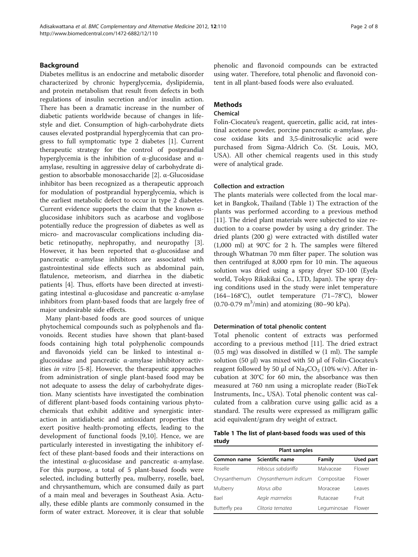#### <span id="page-1-0"></span>Background

Diabetes mellitus is an endocrine and metabolic disorder characterized by chronic hyperglycemia, dyslipidemia, and protein metabolism that result from defects in both regulations of insulin secretion and/or insulin action. There has been a dramatic increase in the number of diabetic patients worldwide because of changes in lifestyle and diet. Consumption of high-carbohydrate diets causes elevated postprandial hyperglycemia that can progress to full symptomatic type 2 diabetes [\[1](#page-7-0)]. Current therapeutic strategy for the control of postprandial hyperglycemia is the inhibition of α-glucosidase and αamylase, resulting in aggressive delay of carbohydrate digestion to absorbable monosaccharide [\[2](#page-7-0)]. α-Glucosidase inhibitor has been recognized as a therapeutic approach for modulation of postprandial hyperglycemia, which is the earliest metabolic defect to occur in type 2 diabetes. Current evidence supports the claim that the known  $\alpha$ glucosidase inhibitors such as acarbose and voglibose potentially reduce the progression of diabetes as well as micro- and macrovascular complications including diabetic retinopathy, nephropathy, and neuropathy [\[3](#page-7-0)]. However, it has been reported that α-glucosidase and pancreatic α-amylase inhibitors are associated with gastrointestinal side effects such as abdominal pain, flatulence, meteorism, and diarrhea in the diabetic patients [[4\]](#page-7-0). Thus, efforts have been directed at investigating intestinal α-glucosidase and pancreatic α-amylase inhibitors from plant-based foods that are largely free of major undesirable side effects.

Many plant-based foods are good sources of unique phytochemical compounds such as polyphenols and flavonoids. Recent studies have shown that plant-based foods containing high total polyphenolic compounds and flavonoids yield can be linked to intestinal αglucosidase and pancreatic α-amylase inhibitory activities in vitro [\[5](#page-7-0)-[8\]](#page-7-0). However, the therapeutic approaches from administration of single plant-based food may be not adequate to assess the delay of carbohydrate digestion. Many scientists have investigated the combination of different plant-based foods containing various phytochemicals that exhibit additive and synergistic interaction in antidiabetic and antioxidant properties that exert positive health-promoting effects, leading to the development of functional foods [\[9,10](#page-7-0)]. Hence, we are particularly interested in investigating the inhibitory effect of these plant-based foods and their interactions on the intestinal α-glucosidase and pancreatic α-amylase. For this purpose, a total of 5 plant-based foods were selected, including butterfly pea, mulberry, roselle, bael, and chrysanthemum, which are consumed daily as part of a main meal and beverages in Southeast Asia. Actually, these edible plants are commonly consumed in the form of water extract. Moreover, it is clear that soluble phenolic and flavonoid compounds can be extracted using water. Therefore, total phenolic and flavonoid content in all plant-based foods were also evaluated.

# Methods

## Chemical

Folin-Ciocateu's reagent, quercetin, gallic acid, rat intestinal acetone powder, porcine pancreatic α-amylase, glucose oxidase kits and 3,5-dinitrosalicylic acid were purchased from Sigma-Aldrich Co. (St. Louis, MO, USA). All other chemical reagents used in this study were of analytical grade.

#### Collection and extraction

The plants materials were collected from the local market in Bangkok, Thailand (Table 1) The extraction of the plants was performed according to a previous method [[11\]](#page-7-0). The dried plant materials were subjected to size reduction to a coarse powder by using a dry grinder. The dried plants (200 g) were extracted with distilled water (1,000 ml) at 90°C for 2 h. The samples were filtered through Whatman 70 mm filter paper. The solution was then centrifuged at 8,000 rpm for 10 min. The aqueous solution was dried using a spray dryer SD-100 (Eyela world, Tokyo Rikakikai Co., LTD, Japan). The spray drying conditions used in the study were inlet temperature (164–168°C), outlet temperature (71–78°C), blower  $(0.70 - 0.79 \text{ m}^3/\text{min})$  and atomizing  $(80 - 90 \text{ kPa})$ .

#### Determination of total phenolic content

Total phenolic content of extracts was performed according to a previous method [\[11](#page-7-0)]. The dried extract (0.5 mg) was dissolved in distilled w (1 ml). The sample solution (50 μl) was mixed with 50 μl of Folin-Ciocateu's reagent followed by 50 μl of  $\text{Na}_2\text{CO}_3$  (10% w/v). After incubation at 30°C for 60 min, the absorbance was then measured at 760 nm using a microplate reader (BioTek Instruments, Inc., USA). Total phenolic content was calculated from a calibration curve using gallic acid as a standard. The results were expressed as milligram gallic acid equivalent/gram dry weight of extract.

#### Table 1 The list of plant-based foods was used of this study

| <b>Plant samples</b> |                       |             |           |  |  |
|----------------------|-----------------------|-------------|-----------|--|--|
| Common name          | Scientific name       | Family      | Used part |  |  |
| Roselle              | Hibiscus sabdariffa   | Malvaceae   | Flower    |  |  |
| Chrysanthemum        | Chrysanthemum indicum | Compositae  | Flower    |  |  |
| Mulberry             | Morus alba            | Moraceae    | l eaves   |  |  |
| Bael                 | Aegle marmelos        | Rutaceae    | Fruit     |  |  |
| Butterfly pea        | Clitoria ternatea     | Leguminosae | Flower    |  |  |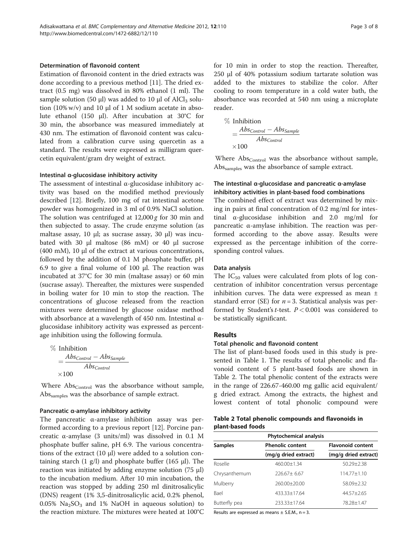# Determination of flavonoid content

Estimation of flavonoid content in the dried extracts was done according to a previous method [[11](#page-7-0)]. The dried extract (0.5 mg) was dissolved in 80% ethanol (1 ml). The sample solution (50 μl) was added to 10 μl of AlCl<sub>3</sub> solution  $(10\% w/v)$  and 10 µl of 1 M sodium acetate in absolute ethanol (150 μl). After incubation at 30°C for 30 min, the absorbance was measured immediately at 430 nm. The estimation of flavonoid content was calculated from a calibration curve using quercetin as a standard. The results were expressed as milligram quercetin equivalent/gram dry weight of extract.

#### Intestinal α-glucosidase inhibitory activity

The assessment of intestinal α-glucosidase inhibitory activity was based on the modified method previously described [[12\]](#page-7-0). Briefly, 100 mg of rat intestinal acetone powder was homogenized in 3 ml of 0.9% NaCl solution. The solution was centrifuged at  $12,000 g$  for 30 min and then subjected to assay. The crude enzyme solution (as maltase assay, 10 μl; as sucrase assay, 30 μl) was incubated with 30 μl maltose (86 mM) or 40 μl sucrose (400 mM), 10 μl of the extract at various concentrations, followed by the addition of 0.1 M phosphate buffer, pH 6.9 to give a final volume of 100 μl. The reaction was incubated at 37°C for 30 min (maltase assay) or 60 min (sucrase assay). Thereafter, the mixtures were suspended in boiling water for 10 min to stop the reaction. The concentrations of glucose released from the reaction mixtures were determined by glucose oxidase method with absorbance at a wavelength of 450 nm. Intestinal αglucosidase inhibitory activity was expressed as percentage inhibition using the following formula.

% Inhibition  
= 
$$
\frac{Abs_{Control} - Abs_{Sample}}{Abs_{Control}}
$$
  
×100

Where  $Abs_{Control}$  was the absorbance without sample, Abssamples was the absorbance of sample extract.

#### Pancreatic α-amylase inhibitory activity

The pancreatic α-amylase inhibition assay was performed according to a previous report [[12\]](#page-7-0). Porcine pancreatic α-amylase (3 units/ml) was dissolved in 0.1 M phosphate buffer saline, pH 6.9. The various concentrations of the extract (10 μl) were added to a solution containing starch  $(1 \text{ g/l})$  and phosphate buffer  $(165 \text{ \mu l})$ . The reaction was initiated by adding enzyme solution (75 μl) to the incubation medium. After 10 min incubation, the reaction was stopped by adding 250 ml dinitrosalicylic (DNS) reagent (1% 3,5-dinitrosalicylic acid, 0.2% phenol, 0.05%  $Na<sub>2</sub>SO<sub>3</sub>$  and 1% NaOH in aqueous solution) to the reaction mixture. The mixtures were heated at 100°C for 10 min in order to stop the reaction. Thereafter, 250 μl of 40% potassium sodium tartarate solution was added to the mixtures to stabilize the color. After cooling to room temperature in a cold water bath, the absorbance was recorded at 540 nm using a microplate reader.

% Inhibition  
\n
$$
= \frac{Abs_{Control} - Abs_{Sample}}{Abs_{Control}}
$$
\n
$$
\times 100
$$

Where  $\text{Abs}_{\text{Control}}$  was the absorbance without sample, Abssamples was the absorbance of sample extract.

# The intestinal α-glucosidase and pancreatic α-amylase inhibitory activities in plant-based food combinations

The combined effect of extract was determined by mixing in pairs at final concentration of 0.2 mg/ml for intestinal α-glucosidase inhibition and 2.0 mg/ml for pancreatic α-amylase inhibition. The reaction was performed according to the above assay. Results were expressed as the percentage inhibition of the corresponding control values.

#### Data analysis

The  $IC_{50}$  values were calculated from plots of log concentration of inhibitor concentration versus percentage inhibition curves. The data were expressed as mean ± standard error (SE) for  $n = 3$ . Statistical analysis was performed by Student's t-test.  $P < 0.001$  was considered to be statistically significant.

#### Results

#### Total phenolic and flavonoid content

The list of plant-based foods used in this study is presented in Table [1](#page-1-0). The results of total phenolic and flavonoid content of 5 plant-based foods are shown in Table 2. The total phenolic content of the extracts were in the range of 226.67-460.00 mg gallic acid equivalent/ g dried extract. Among the extracts, the highest and lowest content of total phonolic compound were

|                   |  | Table 2 Total phenolic compounds and flavonoids in |  |  |
|-------------------|--|----------------------------------------------------|--|--|
| plant-based foods |  |                                                    |  |  |

| Phytochemical analysis |                         |                          |  |  |
|------------------------|-------------------------|--------------------------|--|--|
| <b>Samples</b>         | <b>Phenolic content</b> | <b>Flavonoid content</b> |  |  |
|                        | (mg/g dried extract)    | (mg/g dried extract)     |  |  |
| Roselle                | $460.00 + 1.34$         | $50.29 + 2.38$           |  |  |
| Chrysanthemum          | $226.67 + 6.67$         | $114.77 + 1.10$          |  |  |
| Mulberry               | 260.00+20.00            | 58.09+2.32               |  |  |
| Bael                   | 433.33+17.64            | $44.57 + 2.65$           |  |  |
| Butterfly pea          | 233.33+17.64            | 78.28+1.47               |  |  |

Results are expressed as means  $\pm$  S.E.M., n = 3.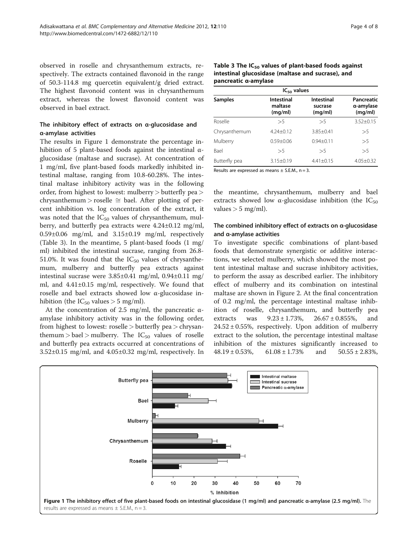# The inhibitory effect of extracts on α-glucosidase and α-amylase activities

The results in Figure 1 demonstrate the percentage inhibition of 5 plant-based foods against the intestinal αglucosidase (maltase and sucrase). At concentration of 1 mg/ml, five plant-based foods markedly inhibited intestinal maltase, ranging from 10.8-60.28%. The intestinal maltase inhibitory activity was in the following order, from highest to lowest: mulberry > butterfly pea > chrysanthemum  $>$  roselle  $\cong$  bael. After plotting of percent inhibition vs. log concentration of the extract, it was noted that the  $IC_{50}$  values of chrysanthemum, mulberry, and butterfly pea extracts were 4.24±0.12 mg/ml,  $0.59\pm0.06$  mg/ml, and  $3.15\pm0.19$  mg/ml, respectively (Table 3). In the meantime, 5 plant-based foods (1 mg/ ml) inhibited the intestinal sucrase, ranging from 26.8- 51.0%. It was found that the  $IC_{50}$  values of chrysanthemum, mulberry and butterfly pea extracts against intestinal sucrase were 3.85±0.41 mg/ml, 0.94±0.11 mg/ ml, and 4.41±0.15 mg/ml, respectively. We found that roselle and bael extracts showed low α-glucosidase inhibition (the  $IC_{50}$  values  $>$  5 mg/ml).

At the concentration of 2.5 mg/ml, the pancreatic  $\alpha$ amylase inhibitory activity was in the following order, from highest to lowest: roselle > butterfly pea > chrysanthemum > bael > mulberry. The  $IC_{50}$  values of roselle and butterfly pea extracts occurred at concentrations of 3.52±0.15 mg/ml, and 4.05±0.32 mg/ml, respectively. In

| Table 3 The $IC_{50}$ values of plant-based foods against |
|-----------------------------------------------------------|
| intestinal glucosidase (maltase and sucrase), and         |
| pancreatic α-amylase                                      |

| $IC_{50}$ values |                                  |                                  |                                    |  |
|------------------|----------------------------------|----------------------------------|------------------------------------|--|
| <b>Samples</b>   | Intestinal<br>maltase<br>(mg/ml) | Intestinal<br>sucrase<br>(mg/ml) | Pancreatic<br>a-amylase<br>(mq/ml) |  |
| Roselle          | >5                               | >5                               | $3.52 \pm 0.15$                    |  |
| Chrysanthemum    | $4.24 + 0.12$                    | $3.85 + 0.41$                    | >5                                 |  |
| Mulberry         | $0.59 + 0.06$                    | $0.94 + 0.11$                    | >5                                 |  |
| Bael             | >5                               | >5                               | >5                                 |  |
| Butterfly pea    | $3.15 \pm 0.19$                  | $4.41 \pm 0.15$                  | $4.05 \pm 0.32$                    |  |

Results are expressed as means  $\pm$  S.E.M., n = 3.

the meantime, chrysanthemum, mulberry and bael extracts showed low  $\alpha$ -glucosidase inhibition (the IC<sub>50</sub>) values  $>$  5 mg/ml).

# The combined inhibitory effect of extracts on α-glucosidase and α-amylase activities

To investigate specific combinations of plant-based foods that demonstrate synergistic or additive interactions, we selected mulberry, which showed the most potent intestinal maltase and sucrase inhibitory activities, to perform the assay as described earlier. The inhibitory effect of mulberry and its combination on intestinal maltase are shown in Figure [2.](#page-4-0) At the final concentration of 0.2 mg/ml, the percentage intestinal maltase inhibition of roselle, chrysanthemum, and butterfly pea extracts was  $9.23 \pm 1.73\%$ ,  $26.67 \pm 0.855\%$ , and  $24.52 \pm 0.55$ %, respectively. Upon addition of mulberry extract to the solution, the percentage intestinal maltase inhibition of the mixtures significantly increased to  $48.19 \pm 0.53\%$ ,  $61.08 \pm 1.73\%$  and  $50.55 \pm 2.83\%$ ,

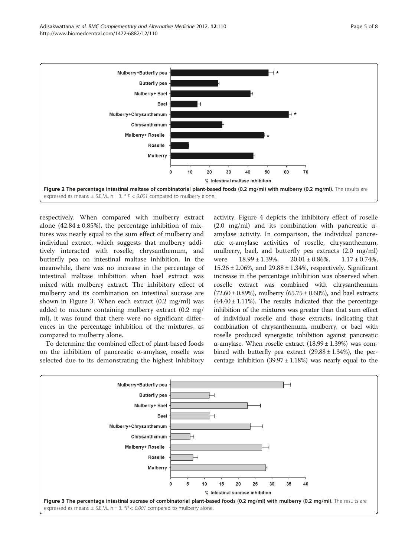<span id="page-4-0"></span>

respectively. When compared with mulberry extract alone  $(42.84 \pm 0.85\%)$ , the percentage inhibition of mixtures was nearly equal to the sum effect of mulberry and individual extract, which suggests that mulberry additively interacted with roselle, chrysanthemum, and butterfly pea on intestinal maltase inhibition. In the meanwhile, there was no increase in the percentage of intestinal maltase inhibition when bael extract was mixed with mulberry extract. The inhibitory effect of mulberry and its combination on intestinal sucrase are shown in Figure 3. When each extract (0.2 mg/ml) was added to mixture containing mulberry extract (0.2 mg/ ml), it was found that there were no significant differences in the percentage inhibition of the mixtures, as compared to mulberry alone.

To determine the combined effect of plant-based foods on the inhibition of pancreatic α-amylase, roselle was selected due to its demonstrating the highest inhibitory

activity. Figure [4](#page-5-0) depicts the inhibitory effect of roselle (2.0 mg/ml) and its combination with pancreatic  $\alpha$ amylase activity. In comparison, the individual pancreatic α-amylase activities of roselle, chrysanthemum, mulberry, bael, and butterfly pea extracts (2.0 mg/ml) were  $18.99 \pm 1.39\%$ ,  $20.01 \pm 0.86\%$ ,  $1.17 \pm 0.74\%$ ,  $15.26 \pm 2.06$ %, and  $29.88 \pm 1.34$ %, respectively. Significant increase in the percentage inhibition was observed when roselle extract was combined with chrysanthemum  $(72.60 \pm 0.89\%)$ , mulberry  $(65.75 \pm 0.60\%)$ , and bael extracts  $(44.40 \pm 1.11\%)$ . The results indicated that the percentage inhibition of the mixtures was greater than that sum effect of individual roselle and those extracts, indicating that combination of chrysanthemum, mulberry, or bael with roselle produced synergistic inhibition against pancreatic α-amylase. When roselle extract (18.99 ± 1.39%) was combined with butterfly pea extract  $(29.88 \pm 1.34\%)$ , the percentage inhibition  $(39.97 \pm 1.18%)$  was nearly equal to the

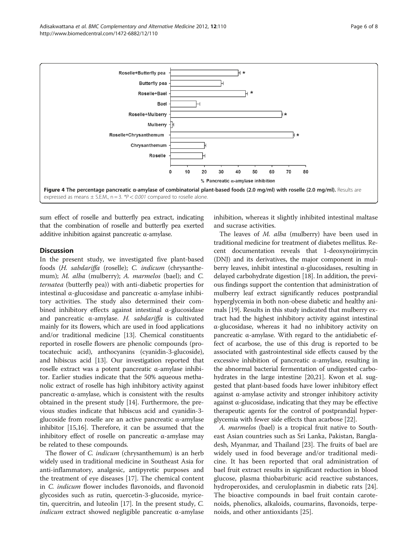<span id="page-5-0"></span>

sum effect of roselle and butterfly pea extract, indicating that the combination of roselle and butterfly pea exerted additive inhibition against pancreatic α-amylase.

#### **Discussion**

In the present study, we investigated five plant-based foods (H. sabdariffa (roselle); C. indicum (chrysanthemum); M. alba (mulberry); A. marmelos (bael); and C. ternatea (butterfly pea)) with anti-diabetic properties for intestinal α-glucosidase and pancreatic α-amylase inhibitory activities. The study also determined their combined inhibitory effects against intestinal α-glucosidase and pancreatic  $\alpha$ -amylase. H. sabdariffa is cultivated mainly for its flowers, which are used in food applications and/or traditional medicine [\[13\]](#page-7-0). Chemical constituents reported in roselle flowers are phenolic compounds (protocatechuic acid), anthocyanins (cyanidin-3-glucoside), and hibiscus acid [\[13\]](#page-7-0). Our investigation reported that roselle extract was a potent pancreatic α-amylase inhibitor. Earlier studies indicate that the 50% aqueous methanolic extract of roselle has high inhibitory activity against pancreatic α-amylase, which is consistent with the results obtained in the present study [\[14\]](#page-7-0). Furthermore, the previous studies indicate that hibiscus acid and cyanidin-3 glucoside from roselle are an active pancreatic α-amylase inhibitor [\[15,16](#page-7-0)]. Therefore, it can be assumed that the inhibitory effect of roselle on pancreatic  $\alpha$ -amylase may be related to these compounds.

The flower of *C. indicum* (chrysanthemum) is an herb widely used in traditional medicine in Southeast Asia for anti-inflammatory, analgesic, antipyretic purposes and the treatment of eye diseases [\[17](#page-7-0)]. The chemical content in C. indicum flower includes flavonoids, and flavonoid glycosides such as rutin, quercetin-3-glucoside, myricetin, quercitrin, and luteolin [[17\]](#page-7-0). In the present study, C. indicum extract showed negligible pancreatic  $α$ -amylase

inhibition, whereas it slightly inhibited intestinal maltase and sucrase activities.

The leaves of M. alba (mulberry) have been used in traditional medicine for treatment of diabetes mellitus. Recent documentation reveals that 1-deoxynojirimycin (DNJ) and its derivatives, the major component in mulberry leaves, inhibit intestinal α-glucosidases, resulting in delayed carbohydrate digestion [[18](#page-7-0)]. In addition, the previous findings support the contention that administration of mulberry leaf extract significantly reduces postprandial hyperglycemia in both non-obese diabetic and healthy animals [\[19\]](#page-7-0). Results in this study indicated that mulberry extract had the highest inhibitory activity against intestinal α-glucosidase, whereas it had no inhibitory activity on pancreatic α-amylase. With regard to the antidiabetic effect of acarbose, the use of this drug is reported to be associated with gastrointestinal side effects caused by the excessive inhibition of pancreatic α-amylase, resulting in the abnormal bacterial fermentation of undigested carbohydrates in the large intestine [\[20,21\]](#page-7-0). Kwon et al. suggested that plant-based foods have lower inhibitory effect against α-amylase activity and stronger inhibitory activity against α-glucosidase, indicating that they may be effective therapeutic agents for the control of postprandial hyperglycemia with fewer side effects than acarbose [\[22\]](#page-7-0).

A. marmelos (bael) is a tropical fruit native to Southeast Asian countries such as Sri Lanka, Pakistan, Bangladesh, Myanmar, and Thailand [\[23](#page-7-0)]. The fruits of bael are widely used in food beverage and/or traditional medicine. It has been reported that oral administration of bael fruit extract results in significant reduction in blood glucose, plasma thiobarbituric acid reactive substances, hydroperoxides, and ceruloplasmin in diabetic rats [\[24](#page-7-0)]. The bioactive compounds in bael fruit contain carotenoids, phenolics, alkaloids, coumarins, flavonoids, terpenoids, and other antioxidants [[25\]](#page-7-0).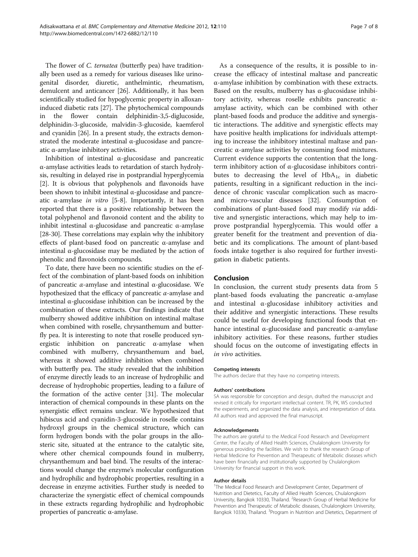The flower of *C. ternatea* (butterfly pea) have traditionally been used as a remedy for various diseases like urinogenital disorder, diuretic, anthelmintic, rheumatism, demulcent and anticancer [\[26](#page-7-0)]. Additionally, it has been scientifically studied for hypoglycemic property in alloxaninduced diabetic rats [\[27\]](#page-7-0). The phytochemical compounds in the flower contain delphinidin-3,5-diglucoside, delphinidin-3-glucoside, malvidin-3-glucoside, kaemferol and cyanidin [\[26\]](#page-7-0). In a present study, the extracts demonstrated the moderate intestinal α-glucosidase and pancreatic α-amylase inhibitory activities.

Inhibition of intestinal α-glucosidase and pancreatic α-amylase activities leads to retardation of starch hydrolysis, resulting in delayed rise in postprandial hyperglycemia [[2\]](#page-7-0). It is obvious that polyphenols and flavonoids have been shown to inhibit intestinal α-glucosidase and pancreatic α-amylase *in vitro* [[5-8\]](#page-7-0). Importantly, it has been reported that there is a positive relationship between the total polyphenol and flavonoid content and the ability to inhibit intestinal α-glucosidase and pancreatic α-amylase [[28](#page-7-0)-[30](#page-7-0)]. These correlations may explain why the inhibitory effects of plant-based food on pancreatic α-amylase and intestinal α-glucosidase may be mediated by the action of phenolic and flavonoids compounds.

To date, there have been no scientific studies on the effect of the combination of plant-based foods on inhibition of pancreatic α-amylase and intestinal α-glucosidase. We hypothesized that the efficacy of pancreatic  $\alpha$ -amylase and intestinal α-glucosidase inhibition can be increased by the combination of these extracts. Our findings indicate that mulberry showed additive inhibition on intestinal maltase when combined with roselle, chrysanthemum and butterfly pea. It is interesting to note that roselle produced synergistic inhibition on pancreatic α-amylase when combined with mulberry, chrysanthemum and bael, whereas it showed additive inhibition when combined with butterfly pea. The study revealed that the inhibition of enzyme directly leads to an increase of hydrophilic and decrease of hydrophobic properties, leading to a failure of the formation of the active center [\[31\]](#page-7-0). The molecular interaction of chemical compounds in these plants on the synergistic effect remains unclear. We hypothesized that hibiscus acid and cyanidin-3-glucoside in roselle contains hydroxyl groups in the chemical structure, which can form hydrogen bonds with the polar groups in the allosteric site, situated at the entrance to the catalytic site, where other chemical compounds found in mulberry, chrysanthemum and bael bind. The results of the interactions would change the enzyme's molecular configuration and hydrophilic and hydrophobic properties, resulting in a decrease in enzyme activities. Further study is needed to characterize the synergistic effect of chemical compounds in these extracts regarding hydrophilic and hydrophobic properties of pancreatic α-amylase.

As a consequence of the results, it is possible to increase the efficacy of intestinal maltase and pancreatic α-amylase inhibition by combination with these extracts. Based on the results, mulberry has  $α$ -glucosidase inhibitory activity, whereas roselle exhibits pancreatic αamylase activity, which can be combined with other plant-based foods and produce the additive and synergistic interactions. The additive and synergistic effects may have positive health implications for individuals attempting to increase the inhibitory intestinal maltase and pancreatic α-amylase activities by consuming food mixtures. Current evidence supports the contention that the longterm inhibitory action of α-glucosidase inhibitors contributes to decreasing the level of  $HbA_{1c}$  in diabetic patients, resulting in a significant reduction in the incidence of chronic vascular complication such as macroand micro-vascular diseases [\[32\]](#page-7-0). Consumption of combinations of plant-based food may modify via additive and synergistic interactions, which may help to improve postprandial hyperglycemia. This would offer a greater benefit for the treatment and prevention of diabetic and its complications. The amount of plant-based foods intake together is also required for further investigation in diabetic patients.

#### Conclusion

In conclusion, the current study presents data from 5 plant-based foods evaluating the pancreatic α-amylase and intestinal α-glucosidase inhibitory activities and their additive and synergistic interactions. These results could be useful for developing functional foods that enhance intestinal α-glucosidase and pancreatic α-amylase inhibitory activities. For these reasons, further studies should focus on the outcome of investigating effects in in vivo activities.

#### Competing interests

The authors declare that they have no competing interests.

#### Authors' contributions

SA was responsible for conception and design, drafted the manuscript and revised it critically for important intellectual content. TR, PK, WS conducted the experiments, and organized the data analysis, and interpretation of data. All authors read and approved the final manuscript.

#### Acknowledgements

The authors are grateful to the Medical Food Research and Development Center, the Faculty of Allied Health Sciences, Chulalongkorn University for generous providing the facilities. We wish to thank the research Group of Herbal Medicine for Prevention and Therapeutic of Metabolic diseases which have been financially and institutionally supported by Chulalongkorn University for financial support in this work.

#### Author details

<sup>1</sup>The Medical Food Research and Development Center, Department of Nutrition and Dietetics, Faculty of Allied Health Sciences, Chulalongkorn University, Bangkok 10330, Thailand. <sup>2</sup>Research Group of Herbal Medicine for Prevention and Therapeutic of Metabolic diseases, Chulalongkorn University, Bangkok 10330, Thailand. <sup>3</sup>Program in Nutrition and Dietetics, Department of